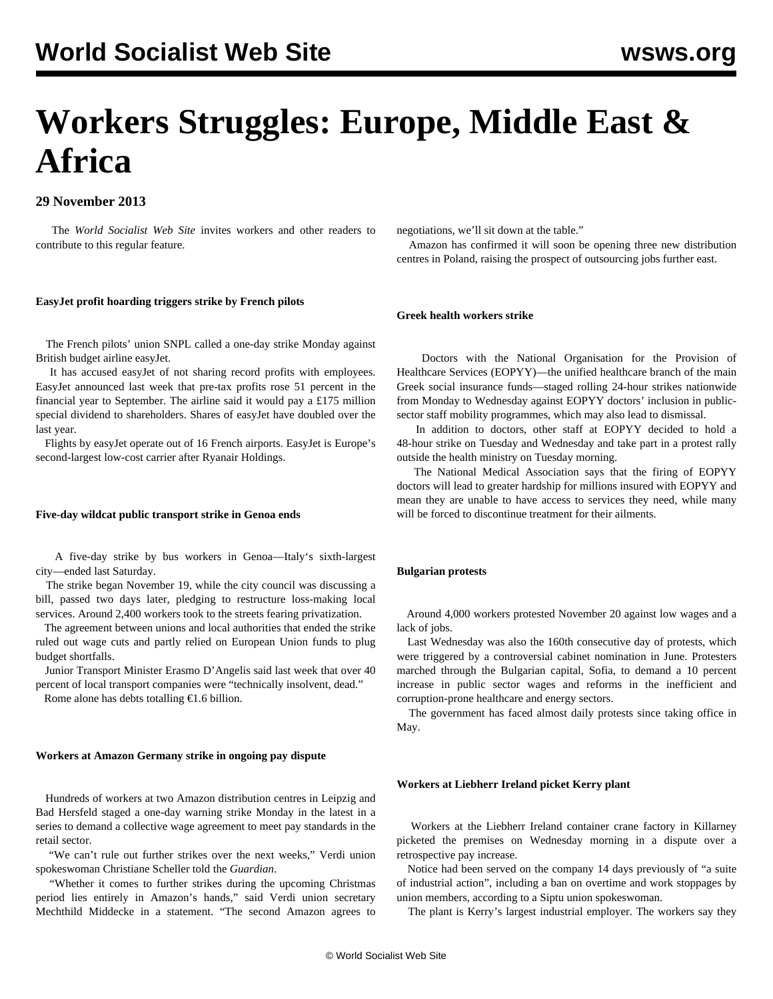# **Workers Struggles: Europe, Middle East & Africa**

### **29 November 2013**

 The *World Socialist Web Site* invites workers and other readers to contribute to this regular feature.

#### **EasyJet profit hoarding triggers strike by French pilots**

 The French pilots' union SNPL called a one-day strike Monday against British budget airline easyJet.

 It has accused easyJet of not sharing record profits with employees. EasyJet announced last week that pre-tax profits rose 51 percent in the financial year to September. The airline said it would pay a £175 million special dividend to shareholders. Shares of easyJet have doubled over the last year.

 Flights by easyJet operate out of 16 French airports. EasyJet is Europe's second-largest low-cost carrier after Ryanair Holdings.

#### **Five-day wildcat public transport strike in Genoa ends**

 A five-day strike by bus workers in Genoa—Italy's sixth-largest city—ended last Saturday.

 The strike began November 19, while the city council was discussing a bill, passed two days later, pledging to restructure loss-making local services. Around 2,400 workers took to the streets fearing privatization.

 The agreement between unions and local authorities that ended the strike ruled out wage cuts and partly relied on European Union funds to plug budget shortfalls.

 Junior Transport Minister Erasmo D'Angelis said last week that over 40 percent of local transport companies were "technically insolvent, dead."

Rome alone has debts totalling  $\epsilon$ 1.6 billion.

#### **Workers at Amazon Germany strike in ongoing pay dispute**

 Hundreds of workers at two Amazon distribution centres in Leipzig and Bad Hersfeld staged a one-day warning strike Monday in the latest in a series to demand a collective wage agreement to meet pay standards in the retail sector.

 "We can't rule out further strikes over the next weeks," Verdi union spokeswoman Christiane Scheller told the *Guardian*.

 "Whether it comes to further strikes during the upcoming Christmas period lies entirely in Amazon's hands," said Verdi union secretary Mechthild Middecke in a statement. "The second Amazon agrees to negotiations, we'll sit down at the table."

 Amazon has confirmed it will soon be opening three new distribution centres in Poland, raising the prospect of outsourcing jobs further east.

#### **Greek health workers strike**

 Doctors with the National Organisation for the Provision of Healthcare Services (EOPYY)—the unified healthcare branch of the main Greek social insurance funds—staged rolling 24-hour strikes nationwide from Monday to Wednesday against EOPYY doctors' inclusion in publicsector staff mobility programmes, which may also lead to dismissal.

 In addition to doctors, other staff at EOPYY decided to hold a 48-hour strike on Tuesday and Wednesday and take part in a protest rally outside the health ministry on Tuesday morning.

 The National Medical Association says that the firing of EOPYY doctors will lead to greater hardship for millions insured with EOPYY and mean they are unable to have access to services they need, while many will be forced to discontinue treatment for their ailments.

#### **Bulgarian protests**

 Around 4,000 workers protested November 20 against low wages and a lack of jobs.

 Last Wednesday was also the 160th consecutive day of protests, which were triggered by a controversial cabinet nomination in June. Protesters marched through the Bulgarian capital, Sofia, to demand a 10 percent increase in public sector wages and reforms in the inefficient and corruption-prone healthcare and energy sectors.

 The government has faced almost daily protests since taking office in May.

#### **Workers at Liebherr Ireland picket Kerry plant**

 Workers at the Liebherr Ireland container crane factory in Killarney picketed the premises on Wednesday morning in a dispute over a retrospective pay increase.

 Notice had been served on the company 14 days previously of "a suite of industrial action", including a ban on overtime and work stoppages by union members, according to a Siptu union spokeswoman.

The plant is Kerry's largest industrial employer. The workers say they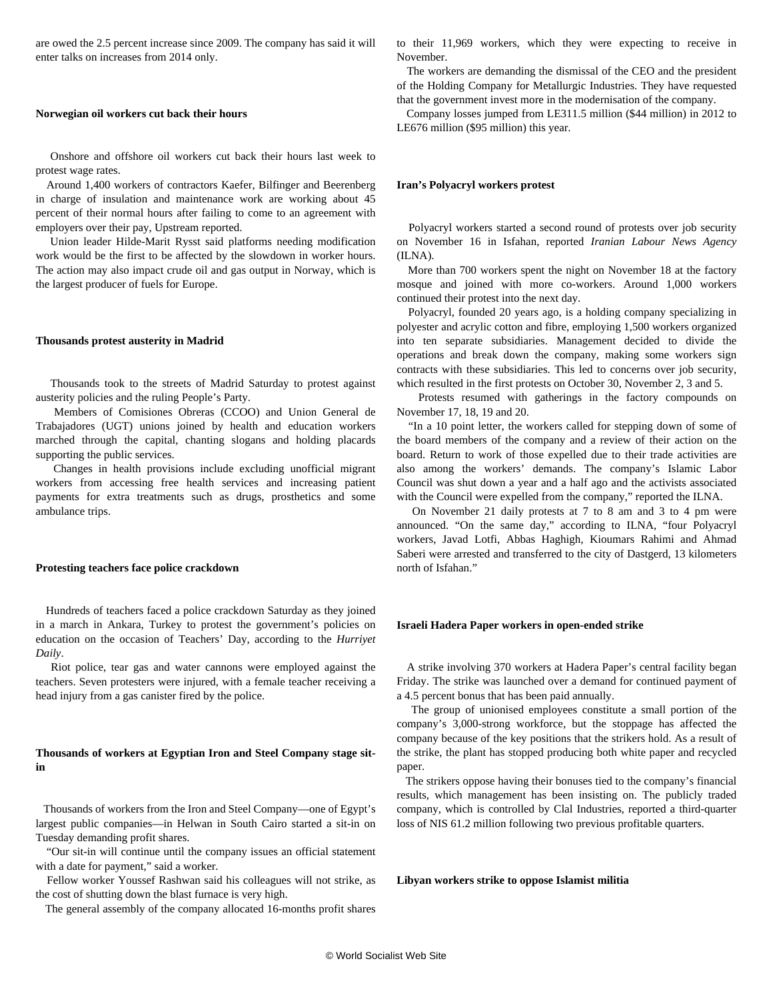are owed the 2.5 percent increase since 2009. The company has said it will enter talks on increases from 2014 only.

#### **Norwegian oil workers cut back their hours**

 Onshore and offshore oil workers cut back their hours last week to protest wage rates.

 Around 1,400 workers of contractors Kaefer, Bilfinger and Beerenberg in charge of insulation and maintenance work are working about 45 percent of their normal hours after failing to come to an agreement with employers over their pay, Upstream reported.

 Union leader Hilde-Marit Rysst said platforms needing modification work would be the first to be affected by the slowdown in worker hours. The action may also impact crude oil and gas output in Norway, which is the largest producer of fuels for Europe.

#### **Thousands protest austerity in Madrid**

 Thousands took to the streets of Madrid Saturday to protest against austerity policies and the ruling People's Party.

 Members of Comisiones Obreras (CCOO) and Union General de Trabajadores (UGT) unions joined by health and education workers marched through the capital, chanting slogans and holding placards supporting the public services.

 Changes in health provisions include excluding unofficial migrant workers from accessing free health services and increasing patient payments for extra treatments such as drugs, prosthetics and some ambulance trips.

#### **Protesting teachers face police crackdown**

 Hundreds of teachers faced a police crackdown Saturday as they joined in a march in Ankara, Turkey to protest the government's policies on education on the occasion of Teachers' Day, according to the *Hurriyet Daily*.

 Riot police, tear gas and water cannons were employed against the teachers. Seven protesters were injured, with a female teacher receiving a head injury from a gas canister fired by the police.

#### **Thousands of workers at Egyptian Iron and Steel Company stage sitin**

 Thousands of workers from the Iron and Steel Company—one of Egypt's largest public companies—in Helwan in South Cairo started a sit-in on Tuesday demanding profit shares.

 "Our sit-in will continue until the company issues an official statement with a date for payment," said a worker.

 Fellow worker Youssef Rashwan said his colleagues will not strike, as the cost of shutting down the blast furnace is very high.

The general assembly of the company allocated 16-months profit shares

to their 11,969 workers, which they were expecting to receive in November.

 The workers are demanding the dismissal of the CEO and the president of the Holding Company for Metallurgic Industries. They have requested that the government invest more in the modernisation of the company.

 Company losses jumped from LE311.5 million (\$44 million) in 2012 to LE676 million (\$95 million) this year.

#### **Iran's Polyacryl workers protest**

 Polyacryl workers started a second round of protests over job security on November 16 in Isfahan, reported *Iranian Labour News Agency* (ILNA).

 More than 700 workers spent the night on November 18 at the factory mosque and joined with more co-workers. Around 1,000 workers continued their protest into the next day.

 Polyacryl, founded 20 years ago, is a holding company specializing in polyester and acrylic cotton and fibre, employing 1,500 workers organized into ten separate subsidiaries. Management decided to divide the operations and break down the company, making some workers sign contracts with these subsidiaries. This led to concerns over job security, which resulted in the first protests on October 30, November 2, 3 and 5.

 Protests resumed with gatherings in the factory compounds on November 17, 18, 19 and 20.

 "In a 10 point letter, the workers called for stepping down of some of the board members of the company and a review of their action on the board. Return to work of those expelled due to their trade activities are also among the workers' demands. The company's Islamic Labor Council was shut down a year and a half ago and the activists associated with the Council were expelled from the company," reported the ILNA.

 On November 21 daily protests at 7 to 8 am and 3 to 4 pm were announced. "On the same day," according to ILNA, "four Polyacryl workers, Javad Lotfi, Abbas Haghigh, Kioumars Rahimi and Ahmad Saberi were arrested and transferred to the city of Dastgerd, 13 kilometers north of Isfahan."

#### **Israeli Hadera Paper workers in open-ended strike**

 A strike involving 370 workers at Hadera Paper's central facility began Friday. The strike was launched over a demand for continued payment of a 4.5 percent bonus that has been paid annually.

 The group of unionised employees constitute a small portion of the company's 3,000-strong workforce, but the stoppage has affected the company because of the key positions that the strikers hold. As a result of the strike, the plant has stopped producing both white paper and recycled paper.

 The strikers oppose having their bonuses tied to the company's financial results, which management has been insisting on. The publicly traded company, which is controlled by Clal Industries, reported a third-quarter loss of NIS 61.2 million following two previous profitable quarters.

#### **Libyan workers strike to oppose Islamist militia**